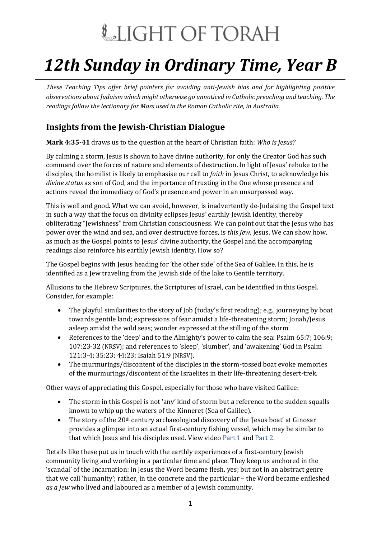# LIGHT OF TORAH

## *12th Sunday in Ordinary Time, Year B*

*These Teaching Tips offer brief pointers for avoiding anti-Jewish bias and for highlighting positive observations about Judaism which might otherwise go unnoticed in Catholic preaching and teaching. The readings follow the lectionary for Mass used in the Roman Catholic rite, in Australia.*

### **Insights from the Jewish-Christian Dialogue**

**Mark 4:35-41** draws us to the question at the heart of Christian faith: *Who is Jesus?*

By calming a storm, Jesus is shown to have divine authority, for only the Creator God has such command over the forces of nature and elements of destruction. In light of Jesus' rebuke to the disciples, the homilist is likely to emphasise our call to *faith* in Jesus Christ, to acknowledge his *divine status* as son of God, and the importance of trusting in the One whose presence and actions reveal the immediacy of God's presence and power in an unsurpassed way.

This is well and good. What we can avoid, however, is inadvertently de-Judaising the Gospel text in such a way that the focus on divinity eclipses Jesus' earthly Jewish identity, thereby obliterating "Jewishness" from Christian consciousness. We can point out that the Jesus who has power over the wind and sea, and over destructive forces, is *this Jew*, Jesus. We can show how, as much as the Gospel points to Jesus' divine authority, the Gospel and the accompanying readings also reinforce his earthly Jewish identity. How so?

The Gospel begins with Jesus heading for 'the other side' of the Sea of Galilee. In this, he is identified as a Jew traveling from the Jewish side of the lake to Gentile territory.

Allusions to the Hebrew Scriptures, the Scriptures of Israel, can be identified in this Gospel. Consider, for example:

- The playful similarities to the story of Job (today's first reading); e.g., journeying by boat towards gentile land; expressions of fear amidst a life-threatening storm; Jonah/Jesus asleep amidst the wild seas; wonder expressed at the stilling of the storm.
- References to the 'deep' and to the Almighty's power to calm the sea: Psalm 65:7; 106:9; 107:23-32 (NRSV); and references to 'sleep', 'slumber', and 'awakening' God in Psalm 121:3-4; 35:23; 44:23; Isaiah 51:9 (NRSV).
- The murmurings/discontent of the disciples in the storm-tossed boat evoke memories of the murmurings/discontent of the Israelites in their life-threatening desert-trek.

Other ways of appreciating this Gospel, especially for those who have visited Galilee:

- The storm in this Gospel is not 'any' kind of storm but a reference to the sudden squalls known to whip up the waters of the Kinneret (Sea of Galilee).
- The story of the  $20<sup>th</sup>$  century archaeological discovery of the 'Jesus boat' at Ginosar provides a glimpse into an actual first-century fishing vessel, which may be similar to that which Jesus and his disciples used. View video [Part 1](https://youtu.be/66BKA9bWjHI) and [Part 2.](https://youtu.be/A6dbRr7VYs4)

Details like these put us in touch with the earthly experiences of a first-century Jewish community living and working in a particular time and place. They keep us anchored in the 'scandal' of the Incarnation: in Jesus the Word became flesh, yes; but not in an abstract genre that we call 'humanity'; rather, in the concrete and the particular – the Word became enfleshed *as a Jew* who lived and laboured as a member of a Jewish community.